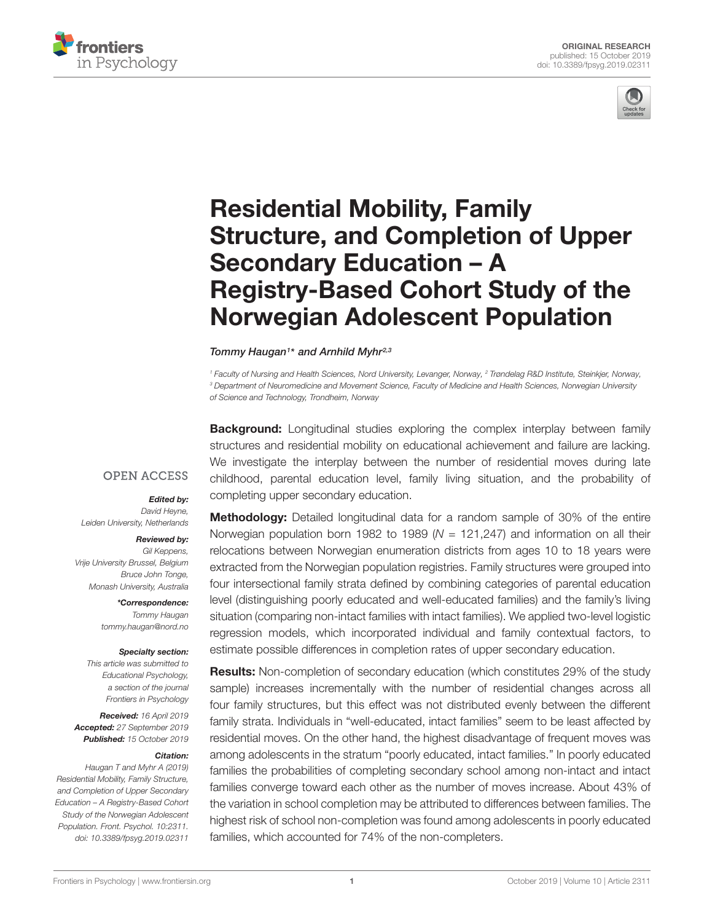



# Residential Mobility, Family [Structure, and Completion of Upper](https://www.frontiersin.org/articles/10.3389/fpsyg.2019.02311/full) Secondary Education – A Registry-Based Cohort Study of the Norwegian Adolescent Population

#### [Tommy Haugan](http://loop.frontiersin.org/people/636907/overview)<sup>1\*</sup> and [Arnhild Myhr](http://loop.frontiersin.org/people/822882/overview)<sup>2,3</sup>

<sup>1</sup> Faculty of Nursing and Health Sciences, Nord University, Levanger, Norway, <sup>2</sup> Trøndelag R&D Institute, Steinkjer, Norway, <sup>3</sup> Department of Neuromedicine and Movement Science, Faculty of Medicine and Health Sciences, Norwegian University of Science and Technology, Trondheim, Norway

**Background:** Longitudinal studies exploring the complex interplay between family structures and residential mobility on educational achievement and failure are lacking. We investigate the interplay between the number of residential moves during late childhood, parental education level, family living situation, and the probability of completing upper secondary education.

### **OPEN ACCESS**

#### Edited by:

David Heyne, Leiden University, Netherlands

#### Reviewed by:

Gil Kennens Vrije University Brussel, Belgium Bruce John Tonge, Monash University, Australia

> \*Correspondence: Tommy Haugan tommy.haugan@nord.no

## Specialty section:

This article was submitted to Educational Psychology, a section of the journal Frontiers in Psychology

Received: 16 April 2019 Accepted: 27 September 2019 Published: 15 October 2019

#### Citation:

Haugan T and Myhr A (2019) Residential Mobility, Family Structure, and Completion of Upper Secondary Education – A Registry-Based Cohort Study of the Norwegian Adolescent Population. Front. Psychol. 10:2311. doi: [10.3389/fpsyg.2019.02311](https://doi.org/10.3389/fpsyg.2019.02311) Methodology: Detailed longitudinal data for a random sample of 30% of the entire Norwegian population born 1982 to 1989 ( $N = 121,247$ ) and information on all their relocations between Norwegian enumeration districts from ages 10 to 18 years were extracted from the Norwegian population registries. Family structures were grouped into four intersectional family strata defined by combining categories of parental education level (distinguishing poorly educated and well-educated families) and the family's living situation (comparing non-intact families with intact families). We applied two-level logistic regression models, which incorporated individual and family contextual factors, to estimate possible differences in completion rates of upper secondary education.

**Results:** Non-completion of secondary education (which constitutes 29% of the study sample) increases incrementally with the number of residential changes across all four family structures, but this effect was not distributed evenly between the different family strata. Individuals in "well-educated, intact families" seem to be least affected by residential moves. On the other hand, the highest disadvantage of frequent moves was among adolescents in the stratum "poorly educated, intact families." In poorly educated families the probabilities of completing secondary school among non-intact and intact families converge toward each other as the number of moves increase. About 43% of the variation in school completion may be attributed to differences between families. The highest risk of school non-completion was found among adolescents in poorly educated families, which accounted for 74% of the non-completers.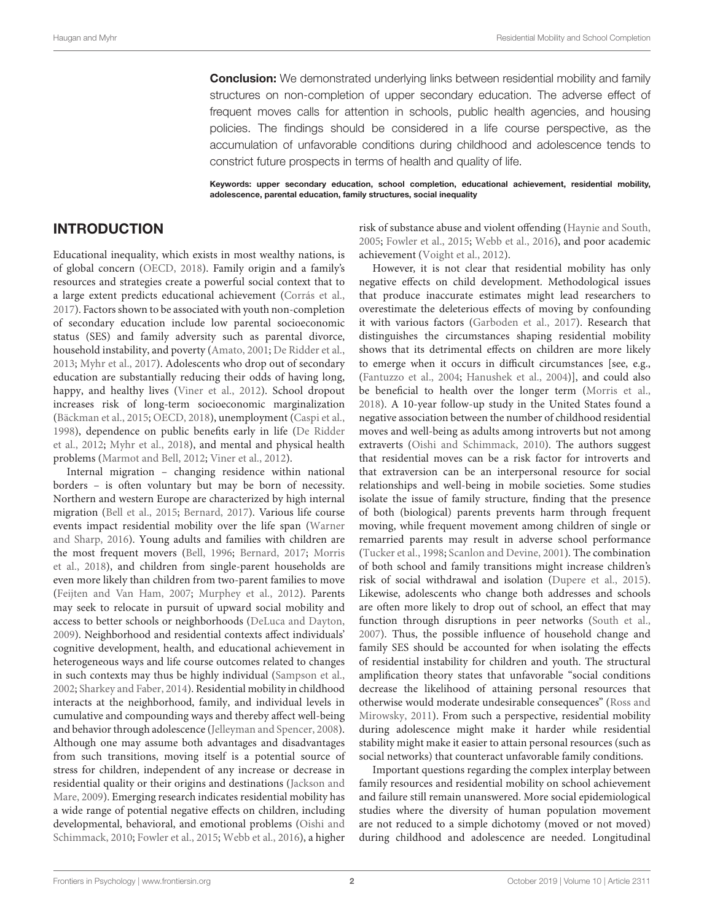**Conclusion:** We demonstrated underlying links between residential mobility and family structures on non-completion of upper secondary education. The adverse effect of frequent moves calls for attention in schools, public health agencies, and housing policies. The findings should be considered in a life course perspective, as the accumulation of unfavorable conditions during childhood and adolescence tends to constrict future prospects in terms of health and quality of life.

Keywords: upper secondary education, school completion, educational achievement, residential mobility, adolescence, parental education, family structures, social inequality

## INTRODUCTION

Educational inequality, which exists in most wealthy nations, is of global concern [\(OECD,](#page-9-0) [2018\)](#page-9-0). Family origin and a family's resources and strategies create a powerful social context that to a large extent predicts educational achievement [\(Corrás et al.,](#page-8-0) [2017\)](#page-8-0). Factors shown to be associated with youth non-completion of secondary education include low parental socioeconomic status (SES) and family adversity such as parental divorce, household instability, and poverty [\(Amato,](#page-8-1) [2001;](#page-8-1) [De Ridder et al.,](#page-8-2) [2013;](#page-8-2) [Myhr et al.,](#page-9-1) [2017\)](#page-9-1). Adolescents who drop out of secondary education are substantially reducing their odds of having long, happy, and healthy lives [\(Viner et al.,](#page-9-2) [2012\)](#page-9-2). School dropout increases risk of long-term socioeconomic marginalization [\(Bäckman et al.,](#page-8-3) [2015;](#page-8-3) [OECD,](#page-9-0) [2018\)](#page-9-0), unemployment [\(Caspi et al.,](#page-8-4) [1998\)](#page-8-4), dependence on public benefits early in life [\(De Ridder](#page-8-5) [et al.,](#page-8-5) [2012;](#page-8-5) [Myhr et al.,](#page-9-3) [2018\)](#page-9-3), and mental and physical health problems [\(Marmot and Bell,](#page-9-4) [2012;](#page-9-4) [Viner et al.,](#page-9-2) [2012\)](#page-9-2).

Internal migration – changing residence within national borders – is often voluntary but may be born of necessity. Northern and western Europe are characterized by high internal migration [\(Bell et al.,](#page-8-6) [2015;](#page-8-6) [Bernard,](#page-8-7) [2017\)](#page-8-7). Various life course events impact residential mobility over the life span [\(Warner](#page-9-5) [and Sharp,](#page-9-5) [2016\)](#page-9-5). Young adults and families with children are the most frequent movers [\(Bell,](#page-8-8) [1996;](#page-8-8) [Bernard,](#page-8-7) [2017;](#page-8-7) [Morris](#page-9-6) [et al.,](#page-9-6) [2018\)](#page-9-6), and children from single-parent households are even more likely than children from two-parent families to move [\(Feijten and Van Ham,](#page-9-7) [2007;](#page-9-7) [Murphey et al.,](#page-9-8) [2012\)](#page-9-8). Parents may seek to relocate in pursuit of upward social mobility and access to better schools or neighborhoods [\(DeLuca and Dayton,](#page-8-9) [2009\)](#page-8-9). Neighborhood and residential contexts affect individuals' cognitive development, health, and educational achievement in heterogeneous ways and life course outcomes related to changes in such contexts may thus be highly individual [\(Sampson et al.,](#page-9-9) [2002;](#page-9-9) [Sharkey and Faber,](#page-9-10) [2014\)](#page-9-10). Residential mobility in childhood interacts at the neighborhood, family, and individual levels in cumulative and compounding ways and thereby affect well-being and behavior through adolescence [\(Jelleyman and Spencer,](#page-9-11) [2008\)](#page-9-11). Although one may assume both advantages and disadvantages from such transitions, moving itself is a potential source of stress for children, independent of any increase or decrease in residential quality or their origins and destinations [\(Jackson and](#page-9-12) [Mare,](#page-9-12) [2009\)](#page-9-12). Emerging research indicates residential mobility has a wide range of potential negative effects on children, including developmental, behavioral, and emotional problems [\(Oishi and](#page-9-13) [Schimmack,](#page-9-13) [2010;](#page-9-13) [Fowler et al.,](#page-9-14) [2015;](#page-9-14) [Webb et al.,](#page-9-15) [2016\)](#page-9-15), a higher

risk of substance abuse and violent offending [\(Haynie and South,](#page-9-16) [2005;](#page-9-16) [Fowler et al.,](#page-9-14) [2015;](#page-9-14) [Webb et al.,](#page-9-15) [2016\)](#page-9-15), and poor academic achievement [\(Voight et al.,](#page-9-17) [2012\)](#page-9-17).

However, it is not clear that residential mobility has only negative effects on child development. Methodological issues that produce inaccurate estimates might lead researchers to overestimate the deleterious effects of moving by confounding it with various factors [\(Garboden et al.,](#page-9-18) [2017\)](#page-9-18). Research that distinguishes the circumstances shaping residential mobility shows that its detrimental effects on children are more likely to emerge when it occurs in difficult circumstances [see, e.g., [\(Fantuzzo et al.,](#page-8-10) [2004;](#page-8-10) [Hanushek et al.,](#page-9-19) [2004\)](#page-9-19)], and could also be beneficial to health over the longer term [\(Morris et al.,](#page-9-6) [2018\)](#page-9-6). A 10-year follow-up study in the United States found a negative association between the number of childhood residential moves and well-being as adults among introverts but not among extraverts [\(Oishi and Schimmack,](#page-9-13) [2010\)](#page-9-13). The authors suggest that residential moves can be a risk factor for introverts and that extraversion can be an interpersonal resource for social relationships and well-being in mobile societies. Some studies isolate the issue of family structure, finding that the presence of both (biological) parents prevents harm through frequent moving, while frequent movement among children of single or remarried parents may result in adverse school performance [\(Tucker et al.,](#page-9-20) [1998;](#page-9-20) [Scanlon and Devine,](#page-9-21) [2001\)](#page-9-21). The combination of both school and family transitions might increase children's risk of social withdrawal and isolation [\(Dupere et al.,](#page-8-11) [2015\)](#page-8-11). Likewise, adolescents who change both addresses and schools are often more likely to drop out of school, an effect that may function through disruptions in peer networks [\(South et al.,](#page-9-22) [2007\)](#page-9-22). Thus, the possible influence of household change and family SES should be accounted for when isolating the effects of residential instability for children and youth. The structural amplification theory states that unfavorable "social conditions decrease the likelihood of attaining personal resources that otherwise would moderate undesirable consequences" [\(Ross and](#page-9-23) [Mirowsky,](#page-9-23) [2011\)](#page-9-23). From such a perspective, residential mobility during adolescence might make it harder while residential stability might make it easier to attain personal resources (such as social networks) that counteract unfavorable family conditions.

Important questions regarding the complex interplay between family resources and residential mobility on school achievement and failure still remain unanswered. More social epidemiological studies where the diversity of human population movement are not reduced to a simple dichotomy (moved or not moved) during childhood and adolescence are needed. Longitudinal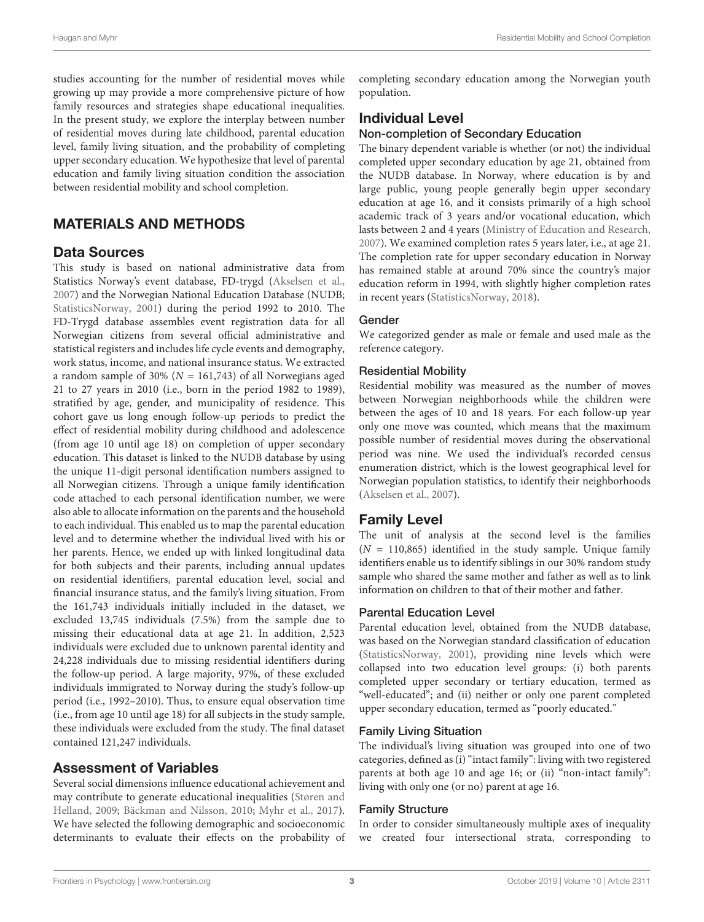studies accounting for the number of residential moves while growing up may provide a more comprehensive picture of how family resources and strategies shape educational inequalities. In the present study, we explore the interplay between number of residential moves during late childhood, parental education level, family living situation, and the probability of completing upper secondary education. We hypothesize that level of parental education and family living situation condition the association between residential mobility and school completion.

## MATERIALS AND METHODS

## Data Sources

This study is based on national administrative data from Statistics Norway's event database, FD-trygd [\(Akselsen et al.,](#page-8-12) [2007\)](#page-8-12) and the Norwegian National Education Database (NUDB; [StatisticsNorway,](#page-9-24) [2001\)](#page-9-24) during the period 1992 to 2010. The FD-Trygd database assembles event registration data for all Norwegian citizens from several official administrative and statistical registers and includes life cycle events and demography, work status, income, and national insurance status. We extracted a random sample of 30% ( $N = 161,743$ ) of all Norwegians aged 21 to 27 years in 2010 (i.e., born in the period 1982 to 1989), stratified by age, gender, and municipality of residence. This cohort gave us long enough follow-up periods to predict the effect of residential mobility during childhood and adolescence (from age 10 until age 18) on completion of upper secondary education. This dataset is linked to the NUDB database by using the unique 11-digit personal identification numbers assigned to all Norwegian citizens. Through a unique family identification code attached to each personal identification number, we were also able to allocate information on the parents and the household to each individual. This enabled us to map the parental education level and to determine whether the individual lived with his or her parents. Hence, we ended up with linked longitudinal data for both subjects and their parents, including annual updates on residential identifiers, parental education level, social and financial insurance status, and the family's living situation. From the 161,743 individuals initially included in the dataset, we excluded 13,745 individuals (7.5%) from the sample due to missing their educational data at age 21. In addition, 2,523 individuals were excluded due to unknown parental identity and 24,228 individuals due to missing residential identifiers during the follow-up period. A large majority, 97%, of these excluded individuals immigrated to Norway during the study's follow-up period (i.e., 1992–2010). Thus, to ensure equal observation time (i.e., from age 10 until age 18) for all subjects in the study sample, these individuals were excluded from the study. The final dataset contained 121,247 individuals.

## Assessment of Variables

Several social dimensions influence educational achievement and may contribute to generate educational inequalities [\(Støren and](#page-9-25) [Helland,](#page-9-25) [2009;](#page-9-25) [Bäckman and Nilsson,](#page-8-13) [2010;](#page-8-13) [Myhr et al.,](#page-9-1) [2017\)](#page-9-1). We have selected the following demographic and socioeconomic determinants to evaluate their effects on the probability of completing secondary education among the Norwegian youth population.

## Individual Level

## Non-completion of Secondary Education

The binary dependent variable is whether (or not) the individual completed upper secondary education by age 21, obtained from the NUDB database. In Norway, where education is by and large public, young people generally begin upper secondary education at age 16, and it consists primarily of a high school academic track of 3 years and/or vocational education, which lasts between 2 and 4 years [\(Ministry of Education and Research,](#page-9-26) [2007\)](#page-9-26). We examined completion rates 5 years later, i.e., at age 21. The completion rate for upper secondary education in Norway has remained stable at around 70% since the country's major education reform in 1994, with slightly higher completion rates in recent years [\(StatisticsNorway,](#page-9-27) [2018\)](#page-9-27).

#### Gender

We categorized gender as male or female and used male as the reference category.

#### Residential Mobility

Residential mobility was measured as the number of moves between Norwegian neighborhoods while the children were between the ages of 10 and 18 years. For each follow-up year only one move was counted, which means that the maximum possible number of residential moves during the observational period was nine. We used the individual's recorded census enumeration district, which is the lowest geographical level for Norwegian population statistics, to identify their neighborhoods [\(Akselsen et al.,](#page-8-12) [2007\)](#page-8-12).

## Family Level

The unit of analysis at the second level is the families  $(N = 110,865)$  identified in the study sample. Unique family identifiers enable us to identify siblings in our 30% random study sample who shared the same mother and father as well as to link information on children to that of their mother and father.

### Parental Education Level

Parental education level, obtained from the NUDB database, was based on the Norwegian standard classification of education [\(StatisticsNorway,](#page-9-24) [2001\)](#page-9-24), providing nine levels which were collapsed into two education level groups: (i) both parents completed upper secondary or tertiary education, termed as "well-educated"; and (ii) neither or only one parent completed upper secondary education, termed as "poorly educated."

## Family Living Situation

The individual's living situation was grouped into one of two categories, defined as (i) "intact family": living with two registered parents at both age 10 and age 16; or (ii) "non-intact family": living with only one (or no) parent at age 16.

### Family Structure

In order to consider simultaneously multiple axes of inequality we created four intersectional strata, corresponding to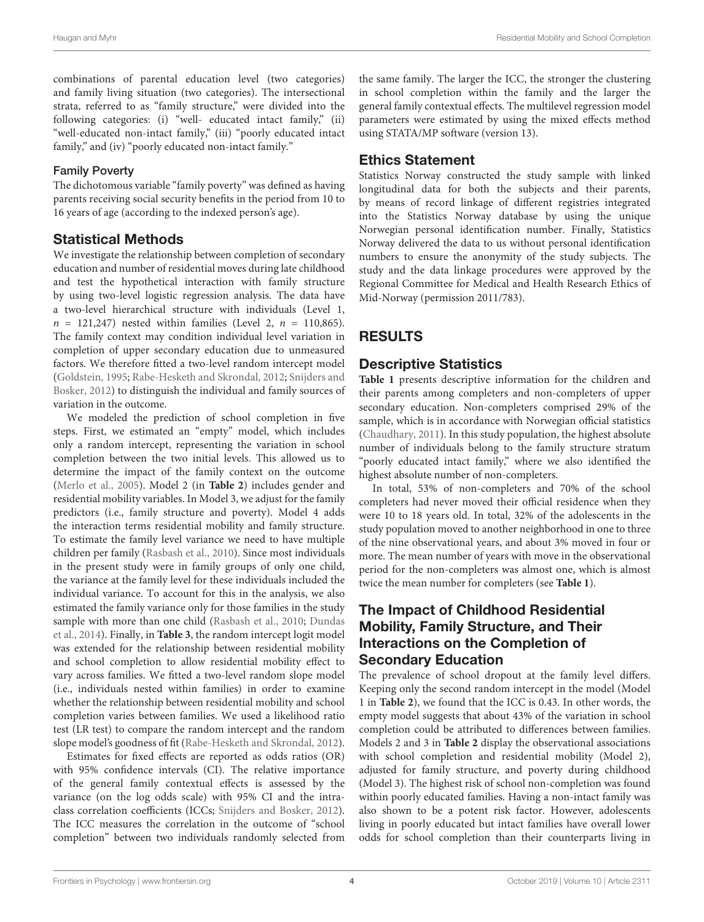combinations of parental education level (two categories) and family living situation (two categories). The intersectional strata, referred to as "family structure," were divided into the following categories: (i) "well- educated intact family," (ii) "well-educated non-intact family," (iii) "poorly educated intact family," and (iv) "poorly educated non-intact family."

#### Family Poverty

The dichotomous variable "family poverty" was defined as having parents receiving social security benefits in the period from 10 to 16 years of age (according to the indexed person's age).

## Statistical Methods

We investigate the relationship between completion of secondary education and number of residential moves during late childhood and test the hypothetical interaction with family structure by using two-level logistic regression analysis. The data have a two-level hierarchical structure with individuals (Level 1,  $n = 121,247$  nested within families (Level 2,  $n = 110,865$ ). The family context may condition individual level variation in completion of upper secondary education due to unmeasured factors. We therefore fitted a two-level random intercept model [\(Goldstein,](#page-9-28) [1995;](#page-9-28) [Rabe-Hesketh and Skrondal,](#page-9-29) [2012;](#page-9-29) [Snijders and](#page-9-30) [Bosker,](#page-9-30) [2012\)](#page-9-30) to distinguish the individual and family sources of variation in the outcome.

We modeled the prediction of school completion in five steps. First, we estimated an "empty" model, which includes only a random intercept, representing the variation in school completion between the two initial levels. This allowed us to determine the impact of the family context on the outcome [\(Merlo et al.,](#page-9-31) [2005\)](#page-9-31). Model 2 (in **[Table 2](#page-5-0)**) includes gender and residential mobility variables. In Model 3, we adjust for the family predictors (i.e., family structure and poverty). Model 4 adds the interaction terms residential mobility and family structure. To estimate the family level variance we need to have multiple children per family [\(Rasbash et al.,](#page-9-32) [2010\)](#page-9-32). Since most individuals in the present study were in family groups of only one child, the variance at the family level for these individuals included the individual variance. To account for this in the analysis, we also estimated the family variance only for those families in the study sample with more than one child [\(Rasbash et al.,](#page-9-32) [2010;](#page-9-32) [Dundas](#page-8-14) [et al.,](#page-8-14) [2014\)](#page-8-14). Finally, in **[Table 3](#page-5-1)**, the random intercept logit model was extended for the relationship between residential mobility and school completion to allow residential mobility effect to vary across families. We fitted a two-level random slope model (i.e., individuals nested within families) in order to examine whether the relationship between residential mobility and school completion varies between families. We used a likelihood ratio test (LR test) to compare the random intercept and the random slope model's goodness of fit [\(Rabe-Hesketh and Skrondal,](#page-9-29) [2012\)](#page-9-29).

Estimates for fixed effects are reported as odds ratios (OR) with 95% confidence intervals (CI). The relative importance of the general family contextual effects is assessed by the variance (on the log odds scale) with 95% CI and the intraclass correlation coefficients (ICCs; [Snijders and Bosker,](#page-9-30) [2012\)](#page-9-30). The ICC measures the correlation in the outcome of "school completion" between two individuals randomly selected from

the same family. The larger the ICC, the stronger the clustering in school completion within the family and the larger the general family contextual effects. The multilevel regression model parameters were estimated by using the mixed effects method using STATA/MP software (version 13).

## Ethics Statement

Statistics Norway constructed the study sample with linked longitudinal data for both the subjects and their parents, by means of record linkage of different registries integrated into the Statistics Norway database by using the unique Norwegian personal identification number. Finally, Statistics Norway delivered the data to us without personal identification numbers to ensure the anonymity of the study subjects. The study and the data linkage procedures were approved by the Regional Committee for Medical and Health Research Ethics of Mid-Norway (permission 2011/783).

# RESULTS

## Descriptive Statistics

**[Table 1](#page-4-0)** presents descriptive information for the children and their parents among completers and non-completers of upper secondary education. Non-completers comprised 29% of the sample, which is in accordance with Norwegian official statistics [\(Chaudhary,](#page-8-15) [2011\)](#page-8-15). In this study population, the highest absolute number of individuals belong to the family structure stratum "poorly educated intact family," where we also identified the highest absolute number of non-completers.

In total, 53% of non-completers and 70% of the school completers had never moved their official residence when they were 10 to 18 years old. In total, 32% of the adolescents in the study population moved to another neighborhood in one to three of the nine observational years, and about 3% moved in four or more. The mean number of years with move in the observational period for the non-completers was almost one, which is almost twice the mean number for completers (see **[Table 1](#page-4-0)**).

## The Impact of Childhood Residential Mobility, Family Structure, and Their Interactions on the Completion of Secondary Education

The prevalence of school dropout at the family level differs. Keeping only the second random intercept in the model (Model 1 in **[Table 2](#page-5-0)**), we found that the ICC is 0.43. In other words, the empty model suggests that about 43% of the variation in school completion could be attributed to differences between families. Models 2 and 3 in **[Table 2](#page-5-0)** display the observational associations with school completion and residential mobility (Model 2), adjusted for family structure, and poverty during childhood (Model 3). The highest risk of school non-completion was found within poorly educated families. Having a non-intact family was also shown to be a potent risk factor. However, adolescents living in poorly educated but intact families have overall lower odds for school completion than their counterparts living in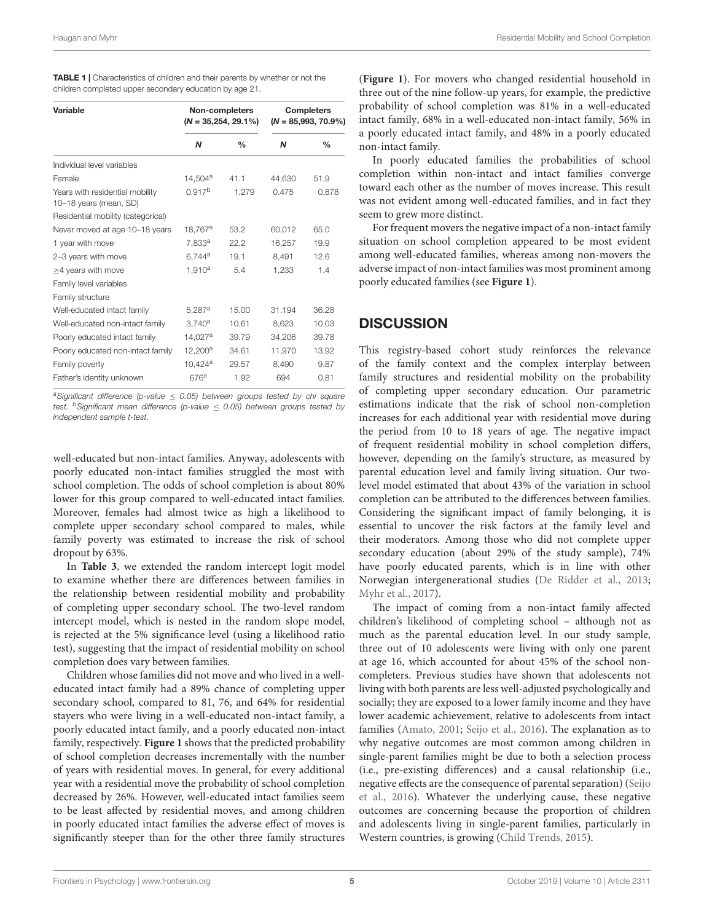| Variable                                                  |                     | Non-completers<br>$(N = 35,254, 29.1\%)$ | <b>Completers</b><br>$(N = 85,993, 70.9\%)$ |               |  |
|-----------------------------------------------------------|---------------------|------------------------------------------|---------------------------------------------|---------------|--|
|                                                           | N                   | $\frac{0}{0}$                            | N                                           | $\frac{0}{0}$ |  |
| Individual level variables                                |                     |                                          |                                             |               |  |
| Female                                                    | 14,504 <sup>a</sup> | 41.1                                     | 44.630                                      | 51.9          |  |
| Years with residential mobility<br>10-18 years (mean, SD) | 0.917 <sup>b</sup>  | 1.279                                    | 0.475                                       | 0.878         |  |
| Residential mobility (categorical)                        |                     |                                          |                                             |               |  |
| Never moved at age 10-18 years                            | 18.767 <sup>a</sup> | 53.2                                     | 60,012                                      | 65.0          |  |
| 1 year with move                                          | 7,833 <sup>a</sup>  | 22.2                                     | 16,257                                      | 19.9          |  |
| 2-3 years with move                                       | 6.744a              | 19.1                                     | 8.491                                       | 12.6          |  |
| $\geq$ 4 years with move                                  | 1.910 <sup>a</sup>  | 5.4                                      | 1,233                                       | 1.4           |  |
| Family level variables                                    |                     |                                          |                                             |               |  |
| Family structure                                          |                     |                                          |                                             |               |  |
| Well-educated intact family                               | 5.287a              | 15.00                                    | 31,194                                      | 36.28         |  |
| Well-educated non-intact family                           | 3.740a              | 10.61                                    | 8,623                                       | 10.03         |  |
| Poorly educated intact family                             | 14,027 <sup>a</sup> | 39.79                                    | 34,206                                      | 39.78         |  |
| Poorly educated non-intact family                         | $12,200^a$          | 34.61                                    | 11,970                                      | 13.92         |  |
| Family poverty                                            | $10.424^a$          | 29.57                                    | 8.490                                       | 9.87          |  |
| Father's identity unknown                                 | 676 <sup>a</sup>    | 1.92                                     | 694                                         | 0.81          |  |

<span id="page-4-0"></span>TABLE 1 | Characteristics of children and their parents by whether or not the children completed upper secondary education by age 21.

<sup>a</sup>Significant difference (p-value  $\leq$  0.05) between groups tested by chi square test. <sup>b</sup>Significant mean difference (p-value  $\leq$  0.05) between groups tested by independent sample t-test.

well-educated but non-intact families. Anyway, adolescents with poorly educated non-intact families struggled the most with school completion. The odds of school completion is about 80% lower for this group compared to well-educated intact families. Moreover, females had almost twice as high a likelihood to complete upper secondary school compared to males, while family poverty was estimated to increase the risk of school dropout by 63%.

In **[Table 3](#page-5-1)**, we extended the random intercept logit model to examine whether there are differences between families in the relationship between residential mobility and probability of completing upper secondary school. The two-level random intercept model, which is nested in the random slope model, is rejected at the 5% significance level (using a likelihood ratio test), suggesting that the impact of residential mobility on school completion does vary between families.

Children whose families did not move and who lived in a welleducated intact family had a 89% chance of completing upper secondary school, compared to 81, 76, and 64% for residential stayers who were living in a well-educated non-intact family, a poorly educated intact family, and a poorly educated non-intact family, respectively. **[Figure 1](#page-6-0)** shows that the predicted probability of school completion decreases incrementally with the number of years with residential moves. In general, for every additional year with a residential move the probability of school completion decreased by 26%. However, well-educated intact families seem to be least affected by residential moves, and among children in poorly educated intact families the adverse effect of moves is significantly steeper than for the other three family structures (**[Figure 1](#page-6-0)**). For movers who changed residential household in three out of the nine follow-up years, for example, the predictive probability of school completion was 81% in a well-educated intact family, 68% in a well-educated non-intact family, 56% in a poorly educated intact family, and 48% in a poorly educated non-intact family.

In poorly educated families the probabilities of school completion within non-intact and intact families converge toward each other as the number of moves increase. This result was not evident among well-educated families, and in fact they seem to grew more distinct.

For frequent movers the negative impact of a non-intact family situation on school completion appeared to be most evident among well-educated families, whereas among non-movers the adverse impact of non-intact families was most prominent among poorly educated families (see **[Figure 1](#page-6-0)**).

## **DISCUSSION**

This registry-based cohort study reinforces the relevance of the family context and the complex interplay between family structures and residential mobility on the probability of completing upper secondary education. Our parametric estimations indicate that the risk of school non-completion increases for each additional year with residential move during the period from 10 to 18 years of age. The negative impact of frequent residential mobility in school completion differs, however, depending on the family's structure, as measured by parental education level and family living situation. Our twolevel model estimated that about 43% of the variation in school completion can be attributed to the differences between families. Considering the significant impact of family belonging, it is essential to uncover the risk factors at the family level and their moderators. Among those who did not complete upper secondary education (about 29% of the study sample), 74% have poorly educated parents, which is in line with other Norwegian intergenerational studies [\(De Ridder et al.,](#page-8-2) [2013;](#page-8-2) [Myhr et al.,](#page-9-1) [2017\)](#page-9-1).

The impact of coming from a non-intact family affected children's likelihood of completing school – although not as much as the parental education level. In our study sample, three out of 10 adolescents were living with only one parent at age 16, which accounted for about 45% of the school noncompleters. Previous studies have shown that adolescents not living with both parents are less well-adjusted psychologically and socially; they are exposed to a lower family income and they have lower academic achievement, relative to adolescents from intact families [\(Amato,](#page-8-1) [2001;](#page-8-1) [Seijo et al.,](#page-9-33) [2016\)](#page-9-33). The explanation as to why negative outcomes are most common among children in single-parent families might be due to both a selection process (i.e., pre-existing differences) and a causal relationship (i.e., negative effects are the consequence of parental separation) [\(Seijo](#page-9-33) [et al.,](#page-9-33) [2016\)](#page-9-33). Whatever the underlying cause, these negative outcomes are concerning because the proportion of children and adolescents living in single-parent families, particularly in Western countries, is growing [\(Child Trends,](#page-8-16) [2015\)](#page-8-16).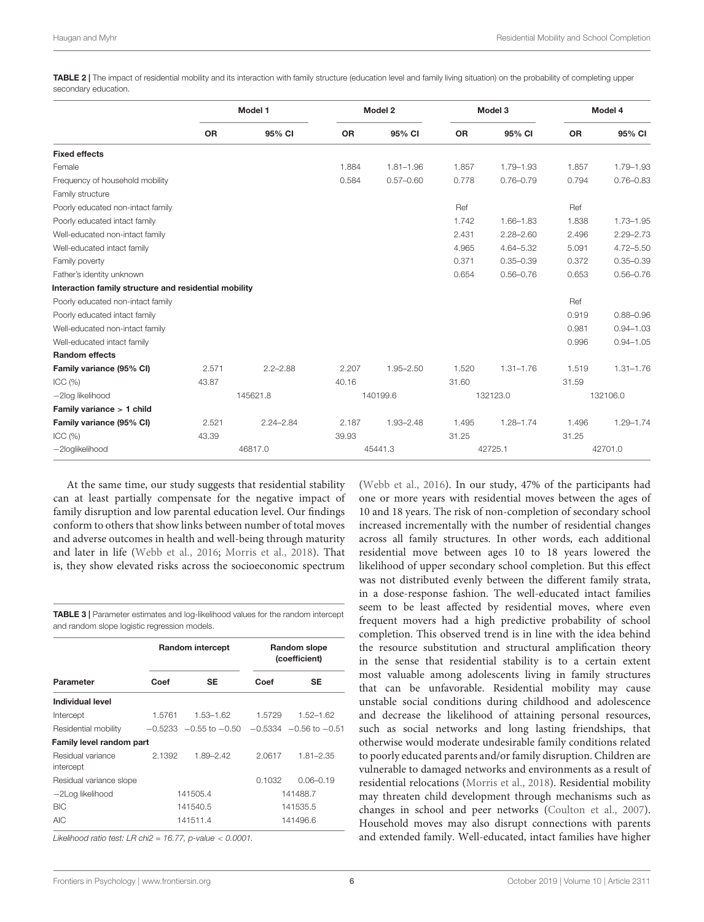<span id="page-5-0"></span>TABLE 2 | The impact of residential mobility and its interaction with family structure (education level and family living situation) on the probability of completing upper secondary education.

|                                                       | Model 1  |               | Model 2   |               | Model 3   |               | Model 4 |               |  |
|-------------------------------------------------------|----------|---------------|-----------|---------------|-----------|---------------|---------|---------------|--|
|                                                       | OR       | 95% CI        | <b>OR</b> | 95% CI        | <b>OR</b> | 95% CI        | OR      | 95% CI        |  |
| <b>Fixed effects</b>                                  |          |               |           |               |           |               |         |               |  |
| Female                                                |          |               | 1.884     | $1.81 - 1.96$ | 1.857     | 1.79-1.93     | 1.857   | 1.79-1.93     |  |
| Frequency of household mobility                       |          |               | 0.584     | $0.57 - 0.60$ | 0.778     | $0.76 - 0.79$ | 0.794   | $0.76 - 0.83$ |  |
| Family structure                                      |          |               |           |               |           |               |         |               |  |
| Poorly educated non-intact family                     |          |               |           |               | Ref       |               | Ref     |               |  |
| Poorly educated intact family                         |          |               |           |               | 1.742     | $1.66 - 1.83$ | 1.838   | $1.73 - 1.95$ |  |
| Well-educated non-intact family                       |          |               |           |               | 2.431     | $2.28 - 2.60$ | 2.496   | $2.29 - 2.73$ |  |
| Well-educated intact family                           |          |               |           |               | 4.965     | $4.64 - 5.32$ | 5.091   | $4.72 - 5.50$ |  |
| Family poverty                                        |          |               |           |               | 0.371     | $0.35 - 0.39$ | 0.372   | $0.35 - 0.39$ |  |
| Father's identity unknown                             |          |               |           |               | 0.654     | $0.56 - 0.76$ | 0.653   | $0.56 - 0.76$ |  |
| Interaction family structure and residential mobility |          |               |           |               |           |               |         |               |  |
| Poorly educated non-intact family                     |          |               |           |               |           |               | Ref     |               |  |
| Poorly educated intact family                         |          |               |           |               |           |               | 0.919   | $0.88 - 0.96$ |  |
| Well-educated non-intact family                       |          |               |           |               |           |               | 0.981   | $0.94 - 1.03$ |  |
| Well-educated intact family                           |          |               |           |               |           |               | 0.996   | $0.94 - 1.05$ |  |
| <b>Random effects</b>                                 |          |               |           |               |           |               |         |               |  |
| Family variance (95% CI)                              | 2.571    | $2.2 - 2.88$  | 2.207     | $1.95 - 2.50$ | 1.520     | $1.31 - 1.76$ | 1.519   | $1.31 - 1.76$ |  |
| ICC(%)                                                | 43.87    |               | 40.16     |               | 31.60     |               | 31.59   |               |  |
| -2log likelihood                                      | 145621.8 |               |           | 140199.6      |           | 132123.0      |         | 132106.0      |  |
| Family variance > 1 child                             |          |               |           |               |           |               |         |               |  |
| Family variance (95% CI)                              | 2.521    | $2.24 - 2.84$ | 2.187     | $1.93 - 2.48$ | 1.495     | $1.28 - 1.74$ | 1.496   | $1.29 - 1.74$ |  |
| ICC(%)                                                | 43.39    |               | 39.93     |               | 31.25     |               | 31.25   |               |  |
| -2loglikelihood                                       |          | 46817.0       |           | 45441.3       |           | 42725.1       |         | 42701.0       |  |

At the same time, our study suggests that residential stability can at least partially compensate for the negative impact of family disruption and low parental education level. Our findings conform to others that show links between number of total moves and adverse outcomes in health and well-being through maturity and later in life [\(Webb et al.,](#page-9-15) [2016;](#page-9-15) [Morris et al.,](#page-9-6) [2018\)](#page-9-6). That is, they show elevated risks across the socioeconomic spectrum

<span id="page-5-1"></span>TABLE 3 | Parameter estimates and log-likelihood values for the random intercept and random slope logistic regression models.

|                                |          | <b>Random intercept</b>                                   | Random slope<br>(coefficient) |               |  |
|--------------------------------|----------|-----------------------------------------------------------|-------------------------------|---------------|--|
| Parameter                      | Coef     | <b>SE</b>                                                 | Coef                          | SE            |  |
| <b>Individual level</b>        |          |                                                           |                               |               |  |
| Intercept                      | 1.5761   | $1.53 - 1.62$                                             | 1.5729                        | $1.52 - 1.62$ |  |
| Residential mobility           |          | $-0.5233$ $-0.55$ to $-0.50$ $-0.5334$ $-0.56$ to $-0.51$ |                               |               |  |
| Family level random part       |          |                                                           |                               |               |  |
| Residual variance<br>intercept | 2.1392   | 1.89-2.42                                                 | 2.0617                        | $1.81 - 2.35$ |  |
| Residual variance slope        |          |                                                           | 0.1032                        | $0.06 - 0.19$ |  |
| -2Log likelihood               | 141505.4 |                                                           | 141488.7                      |               |  |
| <b>BIC</b>                     | 141540.5 |                                                           | 141535.5                      |               |  |
| AIC <sub></sub>                | 141511.4 |                                                           | 141496.6                      |               |  |

Likelihood ratio test: LR chi $2 = 16.77$ , p-value < 0.0001.

[\(Webb et al.,](#page-9-15) [2016\)](#page-9-15). In our study, 47% of the participants had one or more years with residential moves between the ages of 10 and 18 years. The risk of non-completion of secondary school increased incrementally with the number of residential changes across all family structures. In other words, each additional residential move between ages 10 to 18 years lowered the likelihood of upper secondary school completion. But this effect was not distributed evenly between the different family strata, in a dose-response fashion. The well-educated intact families seem to be least affected by residential moves, where even frequent movers had a high predictive probability of school completion. This observed trend is in line with the idea behind the resource substitution and structural amplification theory in the sense that residential stability is to a certain extent most valuable among adolescents living in family structures that can be unfavorable. Residential mobility may cause unstable social conditions during childhood and adolescence and decrease the likelihood of attaining personal resources, such as social networks and long lasting friendships, that otherwise would moderate undesirable family conditions related to poorly educated parents and/or family disruption. Children are vulnerable to damaged networks and environments as a result of residential relocations [\(Morris et al.,](#page-9-6) [2018\)](#page-9-6). Residential mobility may threaten child development through mechanisms such as changes in school and peer networks [\(Coulton et al.,](#page-8-17) [2007\)](#page-8-17). Household moves may also disrupt connections with parents and extended family. Well-educated, intact families have higher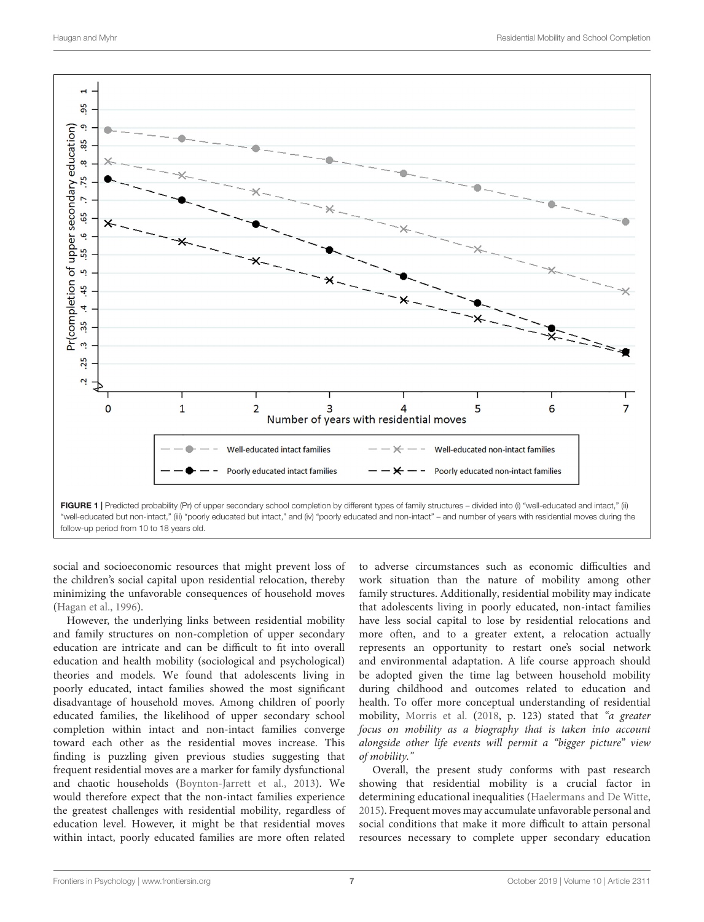

<span id="page-6-0"></span>social and socioeconomic resources that might prevent loss of the children's social capital upon residential relocation, thereby minimizing the unfavorable consequences of household moves [\(Hagan et al.,](#page-9-34) [1996\)](#page-9-34).

However, the underlying links between residential mobility and family structures on non-completion of upper secondary education are intricate and can be difficult to fit into overall education and health mobility (sociological and psychological) theories and models. We found that adolescents living in poorly educated, intact families showed the most significant disadvantage of household moves. Among children of poorly educated families, the likelihood of upper secondary school completion within intact and non-intact families converge toward each other as the residential moves increase. This finding is puzzling given previous studies suggesting that frequent residential moves are a marker for family dysfunctional and chaotic households [\(Boynton-Jarrett et al.,](#page-8-18) [2013\)](#page-8-18). We would therefore expect that the non-intact families experience the greatest challenges with residential mobility, regardless of education level. However, it might be that residential moves within intact, poorly educated families are more often related

to adverse circumstances such as economic difficulties and work situation than the nature of mobility among other family structures. Additionally, residential mobility may indicate that adolescents living in poorly educated, non-intact families have less social capital to lose by residential relocations and more often, and to a greater extent, a relocation actually represents an opportunity to restart one's social network and environmental adaptation. A life course approach should be adopted given the time lag between household mobility during childhood and outcomes related to education and health. To offer more conceptual understanding of residential mobility, [Morris et al.](#page-9-6) [\(2018,](#page-9-6) p. 123) stated that "a greater focus on mobility as a biography that is taken into account alongside other life events will permit a "bigger picture" view of mobility."

Overall, the present study conforms with past research showing that residential mobility is a crucial factor in determining educational inequalities [\(Haelermans and De Witte,](#page-9-35) [2015\)](#page-9-35). Frequent moves may accumulate unfavorable personal and social conditions that make it more difficult to attain personal resources necessary to complete upper secondary education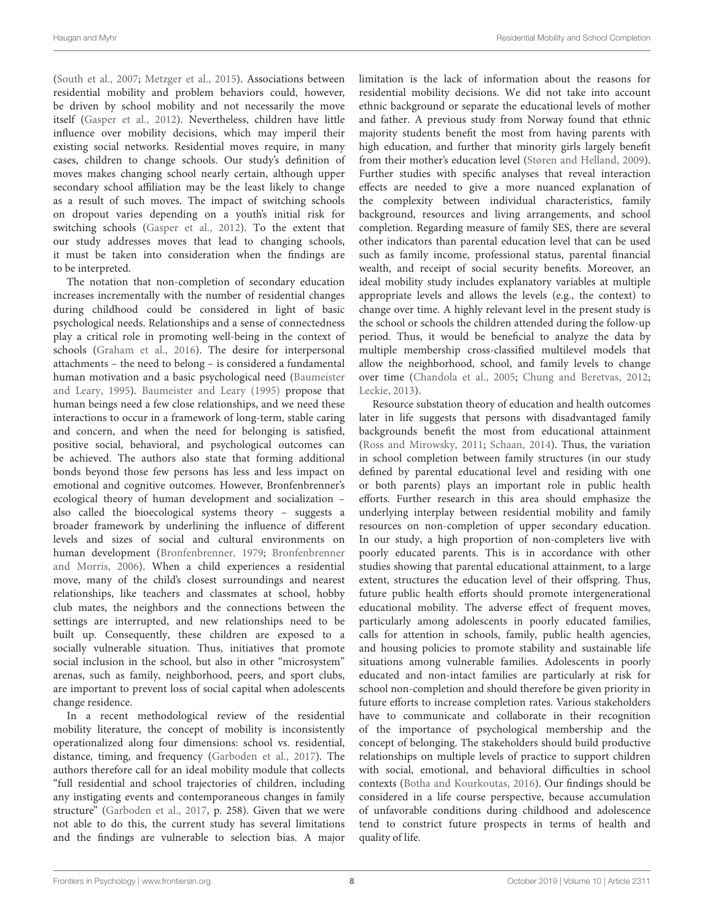[\(South et al.,](#page-9-22) [2007;](#page-9-22) [Metzger et al.,](#page-9-36) [2015\)](#page-9-36). Associations between residential mobility and problem behaviors could, however, be driven by school mobility and not necessarily the move itself [\(Gasper et al.,](#page-9-37) [2012\)](#page-9-37). Nevertheless, children have little influence over mobility decisions, which may imperil their existing social networks. Residential moves require, in many cases, children to change schools. Our study's definition of moves makes changing school nearly certain, although upper secondary school affiliation may be the least likely to change as a result of such moves. The impact of switching schools on dropout varies depending on a youth's initial risk for switching schools [\(Gasper et al.,](#page-9-37) [2012\)](#page-9-37). To the extent that our study addresses moves that lead to changing schools, it must be taken into consideration when the findings are to be interpreted.

The notation that non-completion of secondary education increases incrementally with the number of residential changes during childhood could be considered in light of basic psychological needs. Relationships and a sense of connectedness play a critical role in promoting well-being in the context of schools [\(Graham et al.,](#page-9-38) [2016\)](#page-9-38). The desire for interpersonal attachments – the need to belong – is considered a fundamental human motivation and a basic psychological need [\(Baumeister](#page-8-19) [and Leary,](#page-8-19) [1995\)](#page-8-19). [Baumeister and Leary](#page-8-19) [\(1995\)](#page-8-19) propose that human beings need a few close relationships, and we need these interactions to occur in a framework of long-term, stable caring and concern, and when the need for belonging is satisfied, positive social, behavioral, and psychological outcomes can be achieved. The authors also state that forming additional bonds beyond those few persons has less and less impact on emotional and cognitive outcomes. However, Bronfenbrenner's ecological theory of human development and socialization – also called the bioecological systems theory – suggests a broader framework by underlining the influence of different levels and sizes of social and cultural environments on human development [\(Bronfenbrenner,](#page-8-20) [1979;](#page-8-20) [Bronfenbrenner](#page-8-21) [and Morris,](#page-8-21) [2006\)](#page-8-21). When a child experiences a residential move, many of the child's closest surroundings and nearest relationships, like teachers and classmates at school, hobby club mates, the neighbors and the connections between the settings are interrupted, and new relationships need to be built up. Consequently, these children are exposed to a socially vulnerable situation. Thus, initiatives that promote social inclusion in the school, but also in other "microsystem" arenas, such as family, neighborhood, peers, and sport clubs, are important to prevent loss of social capital when adolescents change residence.

In a recent methodological review of the residential mobility literature, the concept of mobility is inconsistently operationalized along four dimensions: school vs. residential, distance, timing, and frequency [\(Garboden et al.,](#page-9-18) [2017\)](#page-9-18). The authors therefore call for an ideal mobility module that collects "full residential and school trajectories of children, including any instigating events and contemporaneous changes in family structure" [\(Garboden et al.,](#page-9-18) [2017,](#page-9-18) p. 258). Given that we were not able to do this, the current study has several limitations and the findings are vulnerable to selection bias. A major

limitation is the lack of information about the reasons for residential mobility decisions. We did not take into account ethnic background or separate the educational levels of mother and father. A previous study from Norway found that ethnic majority students benefit the most from having parents with high education, and further that minority girls largely benefit from their mother's education level [\(Støren and Helland,](#page-9-25) [2009\)](#page-9-25). Further studies with specific analyses that reveal interaction effects are needed to give a more nuanced explanation of the complexity between individual characteristics, family background, resources and living arrangements, and school completion. Regarding measure of family SES, there are several other indicators than parental education level that can be used such as family income, professional status, parental financial wealth, and receipt of social security benefits. Moreover, an ideal mobility study includes explanatory variables at multiple appropriate levels and allows the levels (e.g., the context) to change over time. A highly relevant level in the present study is the school or schools the children attended during the follow-up period. Thus, it would be beneficial to analyze the data by multiple membership cross-classified multilevel models that allow the neighborhood, school, and family levels to change over time [\(Chandola et al.,](#page-8-22) [2005;](#page-8-22) [Chung and Beretvas,](#page-8-23) [2012;](#page-8-23) [Leckie,](#page-9-39) [2013\)](#page-9-39).

Resource substation theory of education and health outcomes later in life suggests that persons with disadvantaged family backgrounds benefit the most from educational attainment [\(Ross and Mirowsky,](#page-9-23) [2011;](#page-9-23) [Schaan,](#page-9-40) [2014\)](#page-9-40). Thus, the variation in school completion between family structures (in our study defined by parental educational level and residing with one or both parents) plays an important role in public health efforts. Further research in this area should emphasize the underlying interplay between residential mobility and family resources on non-completion of upper secondary education. In our study, a high proportion of non-completers live with poorly educated parents. This is in accordance with other studies showing that parental educational attainment, to a large extent, structures the education level of their offspring. Thus, future public health efforts should promote intergenerational educational mobility. The adverse effect of frequent moves, particularly among adolescents in poorly educated families, calls for attention in schools, family, public health agencies, and housing policies to promote stability and sustainable life situations among vulnerable families. Adolescents in poorly educated and non-intact families are particularly at risk for school non-completion and should therefore be given priority in future efforts to increase completion rates. Various stakeholders have to communicate and collaborate in their recognition of the importance of psychological membership and the concept of belonging. The stakeholders should build productive relationships on multiple levels of practice to support children with social, emotional, and behavioral difficulties in school contexts [\(Botha and Kourkoutas,](#page-8-24) [2016\)](#page-8-24). Our findings should be considered in a life course perspective, because accumulation of unfavorable conditions during childhood and adolescence tend to constrict future prospects in terms of health and quality of life.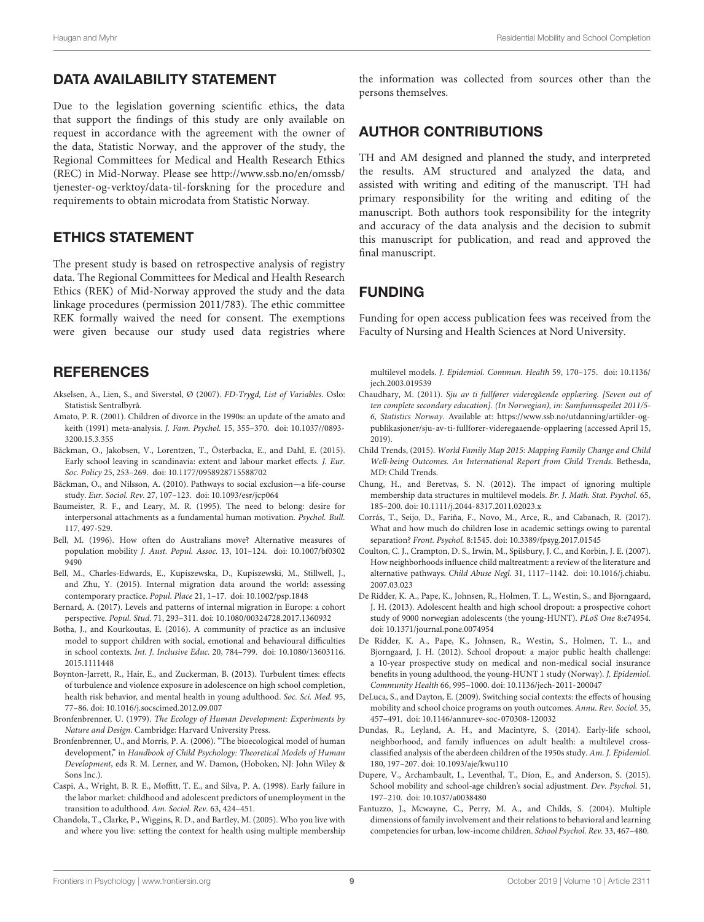## DATA AVAILABILITY STATEMENT

Due to the legislation governing scientific ethics, the data that support the findings of this study are only available on request in accordance with the agreement with the owner of the data, Statistic Norway, and the approver of the study, the Regional Committees for Medical and Health Research Ethics (REC) in Mid-Norway. Please see [http://www.ssb.no/en/omssb/](http://www.ssb.no/en/omssb/tjenester-og-verktoy/data-til-forskning) [tjenester-og-verktoy/data-til-forskning](http://www.ssb.no/en/omssb/tjenester-og-verktoy/data-til-forskning) for the procedure and requirements to obtain microdata from Statistic Norway.

## ETHICS STATEMENT

The present study is based on retrospective analysis of registry data. The Regional Committees for Medical and Health Research Ethics (REK) of Mid-Norway approved the study and the data linkage procedures (permission 2011/783). The ethic committee REK formally waived the need for consent. The exemptions were given because our study used data registries where

## **REFERENCES**

- <span id="page-8-12"></span>Akselsen, A., Lien, S., and Siverstøl, Ø (2007). FD-Trygd, List of Variables. Oslo: Statistisk Sentralbyrå.
- <span id="page-8-1"></span>Amato, P. R. (2001). Children of divorce in the 1990s: an update of the amato and keith (1991) meta-analysis. J. Fam. Psychol. 15, 355–370. [doi: 10.1037//0893-](https://doi.org/10.1037//0893-3200.15.3.355) [3200.15.3.355](https://doi.org/10.1037//0893-3200.15.3.355)
- <span id="page-8-3"></span>Bäckman, O., Jakobsen, V., Lorentzen, T., Österbacka, E., and Dahl, E. (2015). Early school leaving in scandinavia: extent and labour market effects. J. Eur. Soc. Policy 25, 253–269. [doi: 10.1177/0958928715588702](https://doi.org/10.1177/0958928715588702)
- <span id="page-8-13"></span>Bäckman, O., and Nilsson, A. (2010). Pathways to social exclusion—a life-course study. Eur. Sociol. Rev. 27, 107–123. [doi: 10.1093/esr/jcp064](https://doi.org/10.1093/esr/jcp064)
- <span id="page-8-19"></span>Baumeister, R. F., and Leary, M. R. (1995). The need to belong: desire for interpersonal attachments as a fundamental human motivation. Psychol. Bull. 117, 497-529.
- <span id="page-8-8"></span>Bell, M. (1996). How often do Australians move? Alternative measures of population mobility J. Aust. Popul. Assoc. 13, 101–124. [doi: 10.1007/bf0302](https://doi.org/10.1007/bf03029490) [9490](https://doi.org/10.1007/bf03029490)
- <span id="page-8-6"></span>Bell, M., Charles-Edwards, E., Kupiszewska, D., Kupiszewski, M., Stillwell, J., and Zhu, Y. (2015). Internal migration data around the world: assessing contemporary practice. Popul. Place 21, 1–17. [doi: 10.1002/psp.1848](https://doi.org/10.1002/psp.1848)
- <span id="page-8-7"></span>Bernard, A. (2017). Levels and patterns of internal migration in Europe: a cohort perspective. Popul. Stud. 71, 293–311. [doi: 10.1080/00324728.2017.1360932](https://doi.org/10.1080/00324728.2017.1360932)
- <span id="page-8-24"></span>Botha, J., and Kourkoutas, E. (2016). A community of practice as an inclusive model to support children with social, emotional and behavioural difficulties in school contexts. Int. J. Inclusive Educ. 20, 784–799. [doi: 10.1080/13603116.](https://doi.org/10.1080/13603116.2015.1111448) [2015.1111448](https://doi.org/10.1080/13603116.2015.1111448)
- <span id="page-8-18"></span>Boynton-Jarrett, R., Hair, E., and Zuckerman, B. (2013). Turbulent times: effects of turbulence and violence exposure in adolescence on high school completion, health risk behavior, and mental health in young adulthood. Soc. Sci. Med. 95, 77–86. [doi: 10.1016/j.socscimed.2012.09.007](https://doi.org/10.1016/j.socscimed.2012.09.007)
- <span id="page-8-20"></span>Bronfenbrenner, U. (1979). The Ecology of Human Development: Experiments by Nature and Design. Cambridge: Harvard University Press.
- <span id="page-8-21"></span>Bronfenbrenner, U., and Morris, P. A. (2006). "The bioecological model of human development," in Handbook of Child Psychology: Theoretical Models of Human Development, eds R. M. Lerner, and W. Damon, (Hoboken, NJ: John Wiley & Sons Inc.).
- <span id="page-8-4"></span>Caspi, A., Wright, B. R. E., Moffitt, T. E., and Silva, P. A. (1998). Early failure in the labor market: childhood and adolescent predictors of unemployment in the transition to adulthood. Am. Sociol. Rev. 63, 424–451.
- <span id="page-8-22"></span>Chandola, T., Clarke, P., Wiggins, R. D., and Bartley, M. (2005). Who you live with and where you live: setting the context for health using multiple membership

the information was collected from sources other than the persons themselves.

## AUTHOR CONTRIBUTIONS

TH and AM designed and planned the study, and interpreted the results. AM structured and analyzed the data, and assisted with writing and editing of the manuscript. TH had primary responsibility for the writing and editing of the manuscript. Both authors took responsibility for the integrity and accuracy of the data analysis and the decision to submit this manuscript for publication, and read and approved the final manuscript.

# FUNDING

Funding for open access publication fees was received from the Faculty of Nursing and Health Sciences at Nord University.

multilevel models. J. Epidemiol. Commun. Health 59, 170–175. [doi: 10.1136/](https://doi.org/10.1136/jech.2003.019539) [jech.2003.019539](https://doi.org/10.1136/jech.2003.019539)

- <span id="page-8-15"></span>Chaudhary, M. (2011). Sju av ti fullfører videregående opplæring. [Seven out of ten complete secondary education]. (In Norwegian), in: Samfunnsspeilet 2011/5- 6, Statistics Norway. Available at: [https://www.ssb.no/utdanning/artikler-og](https://www.ssb.no/utdanning/artikler-og-publikasjoner/sju-av-ti-fullforer-videregaaende-opplaering)[publikasjoner/sju-av-ti-fullforer-videregaaende-opplaering](https://www.ssb.no/utdanning/artikler-og-publikasjoner/sju-av-ti-fullforer-videregaaende-opplaering) (accessed April 15, 2019).
- <span id="page-8-16"></span>Child Trends, (2015). World Family Map 2015: Mapping Family Change and Child Well-being Outcomes. An International Report from Child Trends. Bethesda, MD: Child Trends.
- <span id="page-8-23"></span>Chung, H., and Beretvas, S. N. (2012). The impact of ignoring multiple membership data structures in multilevel models. Br. J. Math. Stat. Psychol. 65, 185–200. [doi: 10.1111/j.2044-8317.2011.02023.x](https://doi.org/10.1111/j.2044-8317.2011.02023.x)
- <span id="page-8-0"></span>Corrás, T., Seijo, D., Fariña, F., Novo, M., Arce, R., and Cabanach, R. (2017). What and how much do children lose in academic settings owing to parental separation? Front. Psychol. 8:1545. [doi: 10.3389/fpsyg.2017.01545](https://doi.org/10.3389/fpsyg.2017.01545)
- <span id="page-8-17"></span>Coulton, C. J., Crampton, D. S., Irwin, M., Spilsbury, J. C., and Korbin, J. E. (2007). How neighborhoods influence child maltreatment: a review of the literature and alternative pathways. Child Abuse Negl. 31, 1117–1142. [doi: 10.1016/j.chiabu.](https://doi.org/10.1016/j.chiabu.2007.03.023) [2007.03.023](https://doi.org/10.1016/j.chiabu.2007.03.023)
- <span id="page-8-2"></span>De Ridder, K. A., Pape, K., Johnsen, R., Holmen, T. L., Westin, S., and Bjorngaard, J. H. (2013). Adolescent health and high school dropout: a prospective cohort study of 9000 norwegian adolescents (the young-HUNT). PLoS One 8:e74954. [doi: 10.1371/journal.pone.0074954](https://doi.org/10.1371/journal.pone.0074954)
- <span id="page-8-5"></span>De Ridder, K. A., Pape, K., Johnsen, R., Westin, S., Holmen, T. L., and Bjorngaard, J. H. (2012). School dropout: a major public health challenge: a 10-year prospective study on medical and non-medical social insurance benefits in young adulthood, the young-HUNT 1 study (Norway). J. Epidemiol. Community Health 66, 995–1000. [doi: 10.1136/jech-2011-200047](https://doi.org/10.1136/jech-2011-200047)
- <span id="page-8-9"></span>DeLuca, S., and Dayton, E. (2009). Switching social contexts: the effects of housing mobility and school choice programs on youth outcomes. Annu. Rev. Sociol. 35, 457–491. [doi: 10.1146/annurev-soc-070308-120032](https://doi.org/10.1146/annurev-soc-070308-120032)
- <span id="page-8-14"></span>Dundas, R., Leyland, A. H., and Macintyre, S. (2014). Early-life school, neighborhood, and family influences on adult health: a multilevel crossclassified analysis of the aberdeen children of the 1950s study. Am. J. Epidemiol. 180, 197–207. [doi: 10.1093/aje/kwu110](https://doi.org/10.1093/aje/kwu110)
- <span id="page-8-11"></span>Dupere, V., Archambault, I., Leventhal, T., Dion, E., and Anderson, S. (2015). School mobility and school-age children's social adjustment. Dev. Psychol. 51, 197–210. [doi: 10.1037/a0038480](https://doi.org/10.1037/a0038480)
- <span id="page-8-10"></span>Fantuzzo, J., Mcwayne, C., Perry, M. A., and Childs, S. (2004). Multiple dimensions of family involvement and their relations to behavioral and learning competencies for urban, low-income children. School Psychol. Rev. 33, 467–480.